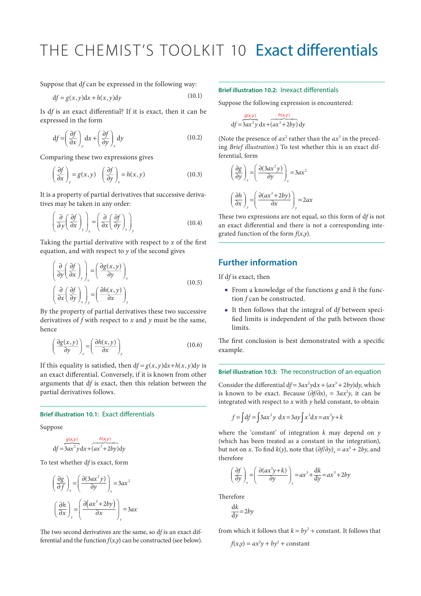# THE CHEMIST'S TOOLKIT 10 Exact differentials

Suppose that d*f* can be expressed in the following way:

$$
df = g(x, y)dx + h(x, y)dy
$$
\n(10.1)

Is d*f* is an exact differential? If it is exact, then it can be expressed in the form

$$
df = \left(\frac{\partial f}{\partial x}\right)_y dx + \left(\frac{\partial f}{\partial y}\right)_x dy
$$
 (10.2)

Comparing these two expressions gives

$$
\left(\frac{\partial f}{\partial x}\right)_y = g(x,y) \quad \left(\frac{\partial f}{\partial y}\right)_x = h(x,y) \tag{10.3}
$$

It is a property of partial derivatives that successive derivatives may be taken in any order:

$$
\left(\frac{\partial}{\partial y}\left(\frac{\partial f}{\partial x}\right)_y\right)_x = \left(\frac{\partial}{\partial x}\left(\frac{\partial f}{\partial y}\right)_x\right)_y\tag{10.4}
$$

Taking the partial derivative with respect to *x* of the first equation, and with respect to *y* of the second gives

$$
\left(\frac{\partial}{\partial y}\left(\frac{\partial f}{\partial x}\right)_y\right)_x = \left(\frac{\partial g(x,y)}{\partial y}\right)_x
$$
\n
$$
\left(\frac{\partial}{\partial x}\left(\frac{\partial f}{\partial y}\right)_x\right)_y = \left(\frac{\partial h(x,y)}{\partial x}\right)_y
$$
\n(10.5)

By the property of partial derivatives these two successive derivatives of *f* with respect to *x* and *y* must be the same, hence

$$
\left(\frac{\partial g(x,y)}{\partial y}\right)_x = \left(\frac{\partial h(x,y)}{\partial x}\right)_y\tag{10.6}
$$

If this equality is satisfied, then  $df = g(x, y)dx + h(x, y)dy$  is an exact differential. Conversely, if it is known from other arguments that d*f* is exact, then this relation between the partial derivatives follows.

## **Brief illustration 10.1:** Exact differentials

Suppose

$$
df = \frac{g(x, y)}{3ax^2y} dx + (ax^3 + 2by) dy
$$

To test whether d*f* is exact, form

$$
\left(\frac{\partial g}{\partial f}\right)_x = \left(\frac{\partial (3ax^2y)}{\partial y}\right)_x = 3ax^2
$$

$$
\left(\frac{\partial h}{\partial x}\right)_y = \left(\frac{\partial (ax^3 + 2by)}{\partial x}\right)_y = 3ax^2
$$

The two second derivatives are the same, so d*f* is an exact differential and the function *f*(*x*,*y*) can be constructed (see below).

## **Brief illustration 10.2:** Inexact differentials

Suppose the following expression is encountered:

$$
\frac{g(x,y)}{df = 3ax^2y} \frac{h(x,y)}{dx + (ax^2 + 2by)} dy
$$

(Note the presence of  $ax^2$  rather than the  $ax^3$  in the preceding *Brief illustration*.) To test whether this is an exact differential, form

$$
\left(\frac{\partial g}{\partial y}\right)_x = \left(\frac{\partial (3ax^2y)}{\partial y}\right)_x = 3ax^2
$$

$$
\left(\frac{\partial h}{\partial x}\right)_y = \left(\frac{\partial (ax^2 + 2by)}{\partial x}\right)_y = 2ax
$$

These two expressions are not equal, so this form of d*f* is not an exact differential and there is not a corresponding integrated function of the form *f*(*x*,*y*).

## **Further information**

If d*f* is exact, then

- From a knowledge of the functions *g* and *h* the function *f* can be constructed.
- It then follows that the integral of d*f* between specified limits is independent of the path between those limits.

The first conclusion is best demonstrated with a specific example.

## **Brief illustration 10.3:** The reconstruction of an equation

Consider the differential  $df = 3ax^2ydx + (ax^3 + 2by)dy$ , which is known to be exact. Because  $(\partial f/\partial x)_y = 3ax^2y$ , it can be integrated with respect to *x* with *y* held constant, to obtain

$$
f = \int df = \int 3ax^2 y \, dx = 3ay \int x^2 dx = ax^3y + k
$$

where the 'constant' of integration *k* may depend on *y* (which has been treated as a constant in the integration), but not on *x*. To find  $k(y)$ , note that  $(\partial f/\partial y)_x = ax^3 + 2by$ , and therefore

$$
\left(\frac{\partial f}{\partial y}\right)_x = \left(\frac{\partial (ax^3y + k)}{\partial y}\right)_x = ax^3 + \frac{dk}{dy} = ax^3 + 2by
$$

Therefore

$$
\frac{\mathrm{d}k}{\mathrm{d}y} = 2by
$$

from which it follows that  $k = by^2 + constant$ . It follows that

$$
f(x,y) = ax^3y + by^2 + constant
$$